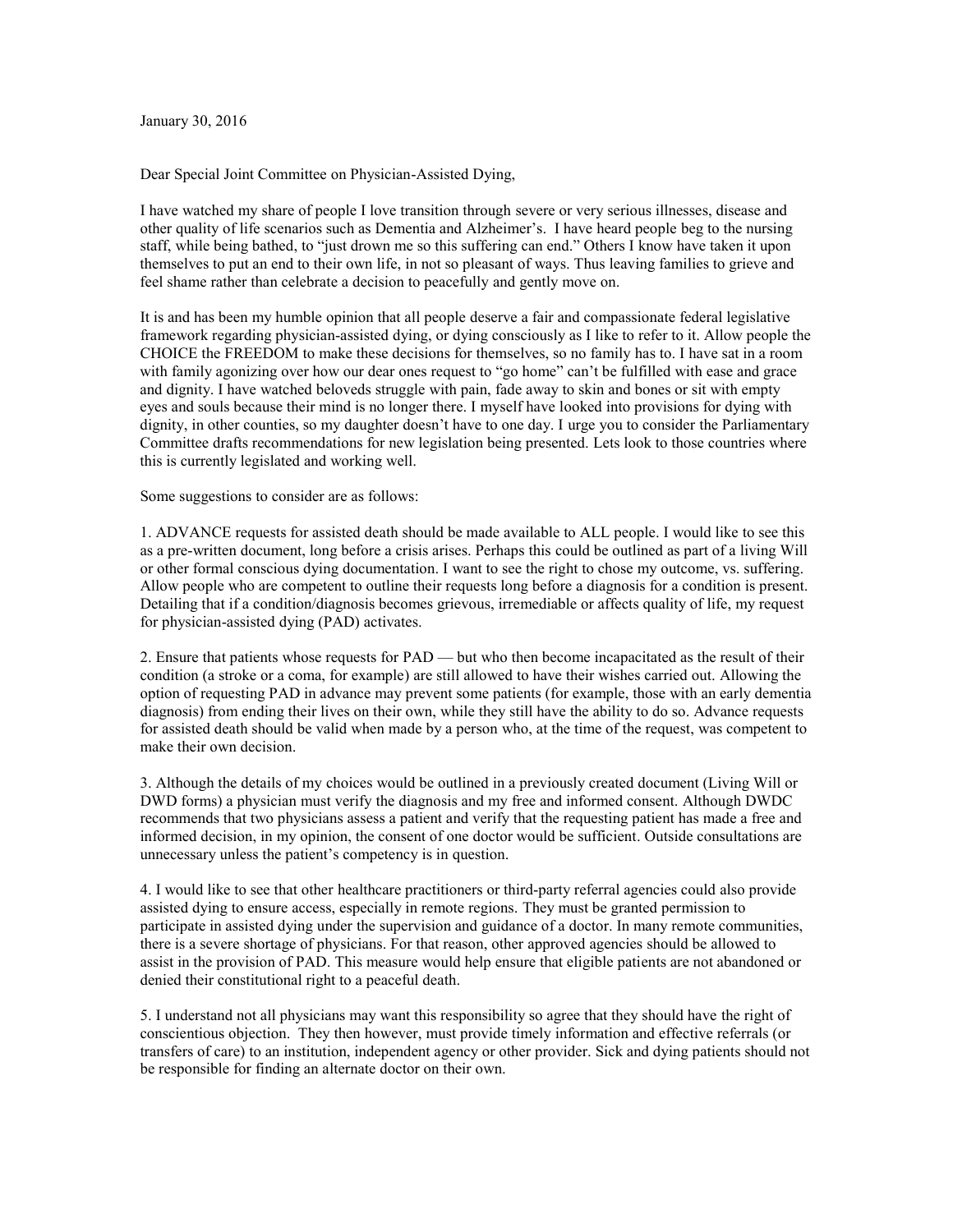January 30, 2016

Dear Special Joint Committee on Physician-Assisted Dying,

I have watched my share of people I love transition through severe or very serious illnesses, disease and other quality of life scenarios such as Dementia and Alzheimer's. I have heard people beg to the nursing staff, while being bathed, to "just drown me so this suffering can end." Others I know have taken it upon themselves to put an end to their own life, in not so pleasant of ways. Thus leaving families to grieve and feel shame rather than celebrate a decision to peacefully and gently move on.

It is and has been my humble opinion that all people deserve a fair and compassionate federal legislative framework regarding physician-assisted dying, or dying consciously as I like to refer to it. Allow people the CHOICE the FREEDOM to make these decisions for themselves, so no family has to. I have sat in a room with family agonizing over how our dear ones request to "go home" can't be fulfilled with ease and grace and dignity. I have watched beloveds struggle with pain, fade away to skin and bones or sit with empty eyes and souls because their mind is no longer there. I myself have looked into provisions for dying with dignity, in other counties, so my daughter doesn't have to one day. I urge you to consider the Parliamentary Committee drafts recommendations for new legislation being presented. Lets look to those countries where this is currently legislated and working well.

Some suggestions to consider are as follows:

1. ADVANCE requests for assisted death should be made available to ALL people. I would like to see this as a pre-written document, long before a crisis arises. Perhaps this could be outlined as part of a living Will or other formal conscious dying documentation. I want to see the right to chose my outcome, vs. suffering. Allow people who are competent to outline their requests long before a diagnosis for a condition is present. Detailing that if a condition/diagnosis becomes grievous, irremediable or affects quality of life, my request for physician-assisted dying (PAD) activates.

2. Ensure that patients whose requests for PAD — but who then become incapacitated as the result of their condition (a stroke or a coma, for example) are still allowed to have their wishes carried out. Allowing the option of requesting PAD in advance may prevent some patients (for example, those with an early dementia diagnosis) from ending their lives on their own, while they still have the ability to do so. Advance requests for assisted death should be valid when made by a person who, at the time of the request, was competent to make their own decision.

3. Although the details of my choices would be outlined in a previously created document (Living Will or DWD forms) a physician must verify the diagnosis and my free and informed consent. Although DWDC recommends that two physicians assess a patient and verify that the requesting patient has made a free and informed decision, in my opinion, the consent of one doctor would be sufficient. Outside consultations are unnecessary unless the patient's competency is in question.

4. I would like to see that other healthcare practitioners or third-party referral agencies could also provide assisted dying to ensure access, especially in remote regions. They must be granted permission to participate in assisted dying under the supervision and guidance of a doctor. In many remote communities, there is a severe shortage of physicians. For that reason, other approved agencies should be allowed to assist in the provision of PAD. This measure would help ensure that eligible patients are not abandoned or denied their constitutional right to a peaceful death.

5. I understand not all physicians may want this responsibility so agree that they should have the right of conscientious objection. They then however, must provide timely information and effective referrals (or transfers of care) to an institution, independent agency or other provider. Sick and dying patients should not be responsible for finding an alternate doctor on their own.